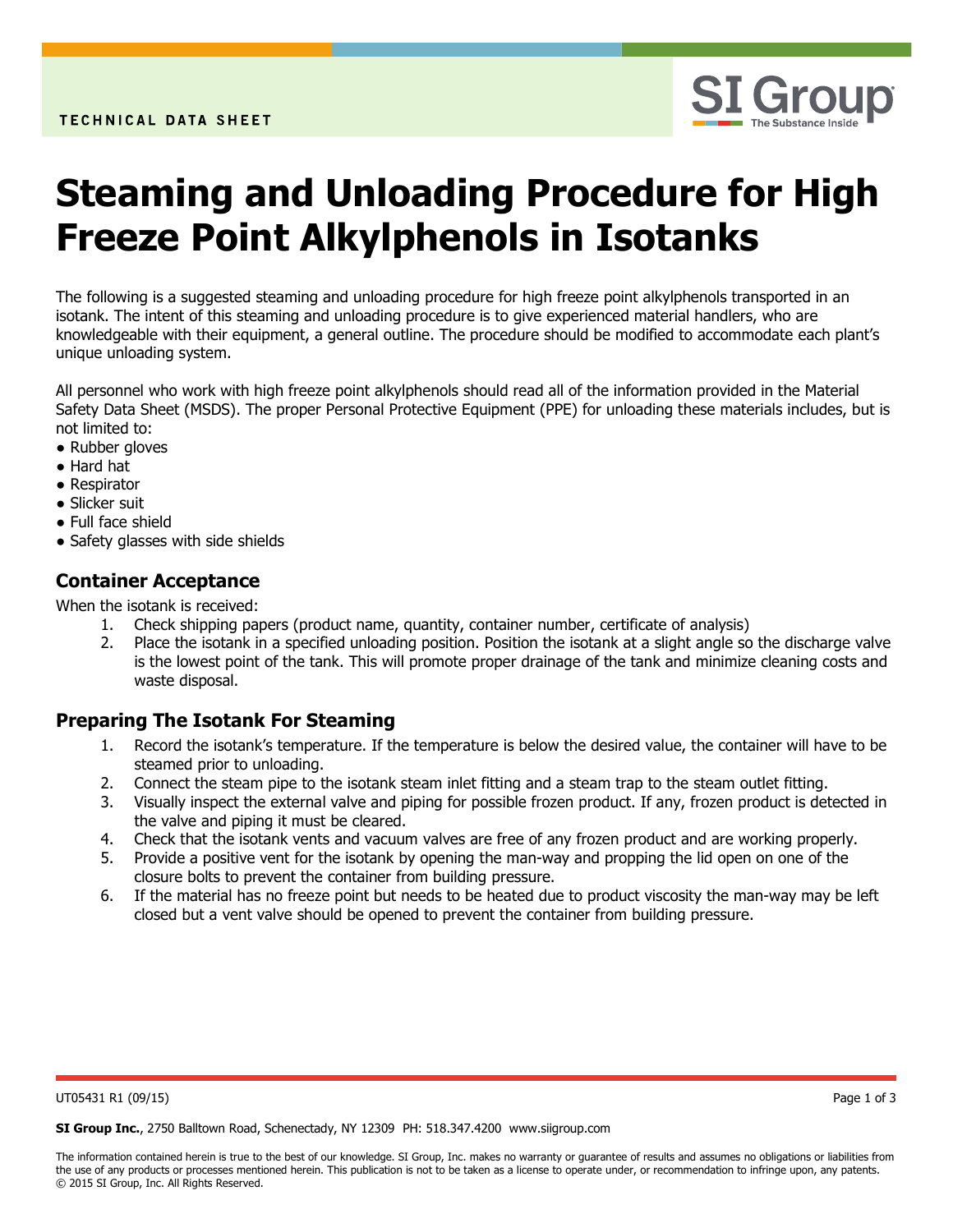

# Steaming and Unloading Procedure for High Freeze Point Alkylphenols in Isotanks

The following is a suggested steaming and unloading procedure for high freeze point alkylphenols transported in an isotank. The intent of this steaming and unloading procedure is to give experienced material handlers, who are knowledgeable with their equipment, a general outline. The procedure should be modified to accommodate each plant's unique unloading system.

All personnel who work with high freeze point alkylphenols should read all of the information provided in the Material Safety Data Sheet (MSDS). The proper Personal Protective Equipment (PPE) for unloading these materials includes, but is not limited to:

- Rubber gloves
- Hard hat
- Respirator
- Slicker suit
- Full face shield
- Safety glasses with side shields

#### Container Acceptance

When the isotank is received:

- 1. Check shipping papers (product name, quantity, container number, certificate of analysis)
- 2. Place the isotank in a specified unloading position. Position the isotank at a slight angle so the discharge valve is the lowest point of the tank. This will promote proper drainage of the tank and minimize cleaning costs and waste disposal.

#### Preparing The Isotank For Steaming

- 1. Record the isotank's temperature. If the temperature is below the desired value, the container will have to be steamed prior to unloading.
- 2. Connect the steam pipe to the isotank steam inlet fitting and a steam trap to the steam outlet fitting.
- 3. Visually inspect the external valve and piping for possible frozen product. If any, frozen product is detected in the valve and piping it must be cleared.
- 4. Check that the isotank vents and vacuum valves are free of any frozen product and are working properly.
- 5. Provide a positive vent for the isotank by opening the man-way and propping the lid open on one of the closure bolts to prevent the container from building pressure.
- 6. If the material has no freeze point but needs to be heated due to product viscosity the man-way may be left closed but a vent valve should be opened to prevent the container from building pressure.

UT05431 R1 (09/15) Page 1 of 3

SI Group Inc., 2750 Balltown Road, Schenectady, NY 12309 PH: 518.347.4200 www.siigroup.com

The information contained herein is true to the best of our knowledge. SI Group, Inc. makes no warranty or guarantee of results and assumes no obligations or liabilities from the use of any products or processes mentioned herein. This publication is not to be taken as a license to operate under, or recommendation to infringe upon, any patents. © 2015 SI Group, Inc. All Rights Reserved.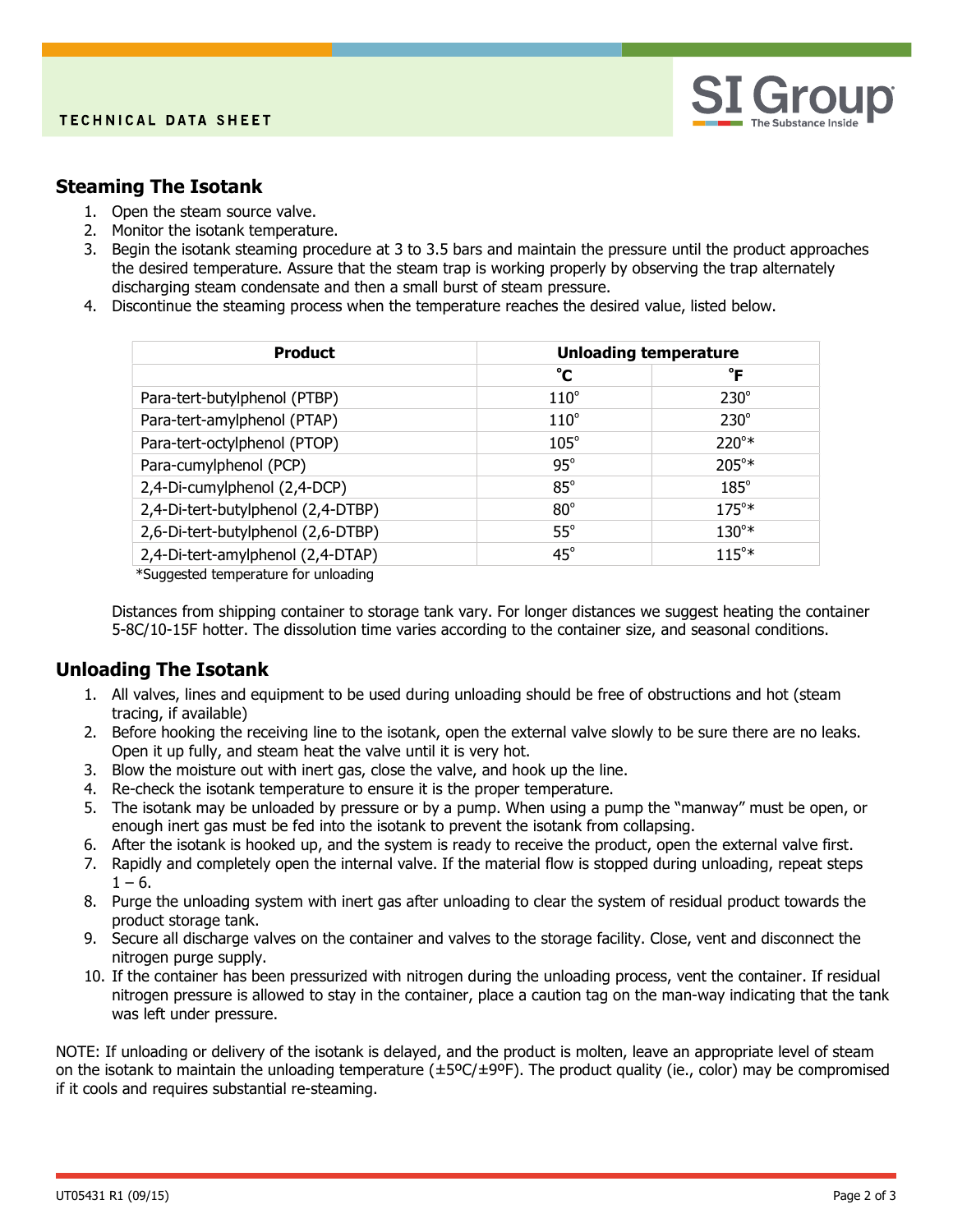

### Steaming The Isotank

- 1. Open the steam source valve.
- 2. Monitor the isotank temperature.
- 3. Begin the isotank steaming procedure at 3 to 3.5 bars and maintain the pressure until the product approaches the desired temperature. Assure that the steam trap is working properly by observing the trap alternately discharging steam condensate and then a small burst of steam pressure.
- 4. Discontinue the steaming process when the temperature reaches the desired value, listed below.

| <b>Product</b>                     | <b>Unloading temperature</b> |                |
|------------------------------------|------------------------------|----------------|
|                                    | °C                           | °F             |
| Para-tert-butylphenol (PTBP)       | $110^\circ$                  | $230^\circ$    |
| Para-tert-amylphenol (PTAP)        | $110^\circ$                  | $230^\circ$    |
| Para-tert-octylphenol (PTOP)       | $105^\circ$                  | $220^{\circ*}$ |
| Para-cumylphenol (PCP)             | $95^\circ$                   | $205^{\circ*}$ |
| 2,4-Di-cumylphenol (2,4-DCP)       | $85^\circ$                   | $185^\circ$    |
| 2,4-Di-tert-butylphenol (2,4-DTBP) | $80^\circ$                   | $175^{\circ*}$ |
| 2,6-Di-tert-butylphenol (2,6-DTBP) | $55^\circ$                   | $130^{\circ*}$ |
| 2,4-Di-tert-amylphenol (2,4-DTAP)  | $45^\circ$                   | $115^{\circ*}$ |

\*Suggested temperature for unloading

Distances from shipping container to storage tank vary. For longer distances we suggest heating the container 5-8C/10-15F hotter. The dissolution time varies according to the container size, and seasonal conditions.

## Unloading The Isotank

- 1. All valves, lines and equipment to be used during unloading should be free of obstructions and hot (steam tracing, if available)
- 2. Before hooking the receiving line to the isotank, open the external valve slowly to be sure there are no leaks. Open it up fully, and steam heat the valve until it is very hot.
- 3. Blow the moisture out with inert gas, close the valve, and hook up the line.
- 4. Re-check the isotank temperature to ensure it is the proper temperature.
- 5. The isotank may be unloaded by pressure or by a pump. When using a pump the "manway" must be open, or enough inert gas must be fed into the isotank to prevent the isotank from collapsing.
- 6. After the isotank is hooked up, and the system is ready to receive the product, open the external valve first.
- 7. Rapidly and completely open the internal valve. If the material flow is stopped during unloading, repeat steps  $1 - 6$ .
- 8. Purge the unloading system with inert gas after unloading to clear the system of residual product towards the product storage tank.
- 9. Secure all discharge valves on the container and valves to the storage facility. Close, vent and disconnect the nitrogen purge supply.
- 10. If the container has been pressurized with nitrogen during the unloading process, vent the container. If residual nitrogen pressure is allowed to stay in the container, place a caution tag on the man-way indicating that the tank was left under pressure.

NOTE: If unloading or delivery of the isotank is delayed, and the product is molten, leave an appropriate level of steam on the isotank to maintain the unloading temperature (±5ºC/±9ºF). The product quality (ie., color) may be compromised if it cools and requires substantial re-steaming.